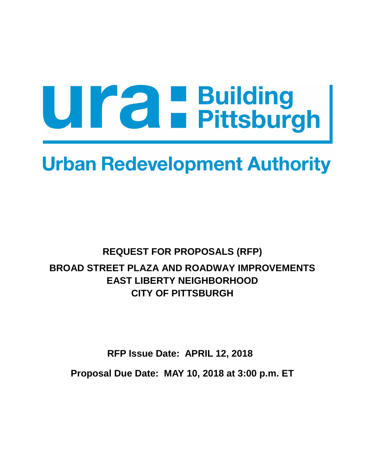# Ura Building<br>Pittsburgh

## **Urban Redevelopment Authority**

### **REQUEST FOR PROPOSALS (RFP) BROAD STREET PLAZA AND ROADWAY IMPROVEMENTS EAST LIBERTY NEIGHBORHOOD CITY OF PITTSBURGH**

**RFP Issue Date: APRIL 12, 2018 Proposal Due Date: MAY 10, 2018 at 3:00 p.m. ET**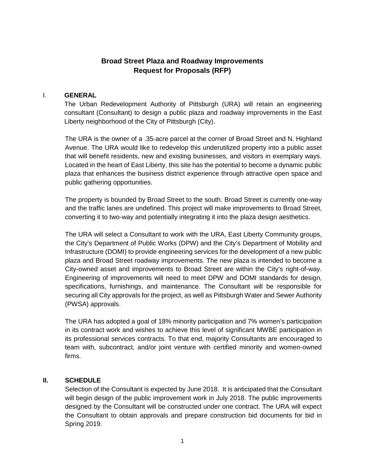#### **Broad Street Plaza and Roadway Improvements Request for Proposals (RFP)**

#### I. **GENERAL**

The Urban Redevelopment Authority of Pittsburgh (URA) will retain an engineering consultant (Consultant) to design a public plaza and roadway improvements in the East Liberty neighborhood of the City of Pittsburgh (City).

The URA is the owner of a .35-acre parcel at the corner of Broad Street and N. Highland Avenue. The URA would like to redevelop this underutilized property into a public asset that will benefit residents, new and existing businesses, and visitors in exemplary ways. Located in the heart of East Liberty, this site has the potential to become a dynamic public plaza that enhances the business district experience through attractive open space and public gathering opportunities.

The property is bounded by Broad Street to the south. Broad Street is currently one-way and the traffic lanes are undefined. This project will make improvements to Broad Street, converting it to two-way and potentially integrating it into the plaza design aesthetics.

The URA will select a Consultant to work with the URA, East Liberty Community groups, the City's Department of Public Works (DPW) and the City's Department of Mobility and Infrastructure (DOMI) to provide engineering services for the development of a new public plaza and Broad Street roadway improvements. The new plaza is intended to become a City-owned asset and improvements to Broad Street are within the City's right-of-way. Engineering of improvements will need to meet DPW and DOMI standards for design, specifications, furnishings, and maintenance. The Consultant will be responsible for securing all City approvals for the project, as well as Pittsburgh Water and Sewer Authority (PWSA) approvals.

The URA has adopted a goal of 18% minority participation and 7% women's participation in its contract work and wishes to achieve this level of significant MWBE participation in its professional services contracts. To that end, majority Consultants are encouraged to team with, subcontract, and/or joint venture with certified minority and women-owned firms.

#### **II. SCHEDULE**

Selection of the Consultant is expected by June 2018. It is anticipated that the Consultant will begin design of the public improvement work in July 2018. The public improvements designed by the Consultant will be constructed under one contract. The URA will expect the Consultant to obtain approvals and prepare construction bid documents for bid in Spring 2019.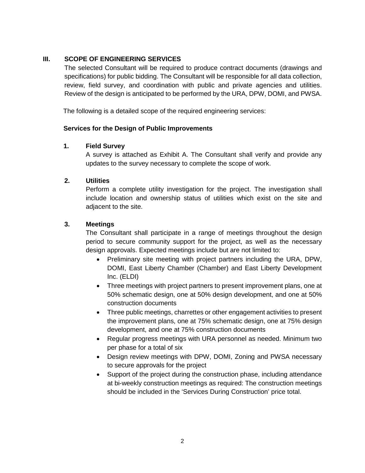#### **III. SCOPE OF ENGINEERING SERVICES**

The selected Consultant will be required to produce contract documents (drawings and specifications) for public bidding. The Consultant will be responsible for all data collection, review, field survey, and coordination with public and private agencies and utilities. Review of the design is anticipated to be performed by the URA, DPW, DOMI, and PWSA.

The following is a detailed scope of the required engineering services:

#### **Services for the Design of Public Improvements**

#### **1. Field Survey**

A survey is attached as Exhibit A. The Consultant shall verify and provide any updates to the survey necessary to complete the scope of work.

#### **2. Utilities**

Perform a complete utility investigation for the project. The investigation shall include location and ownership status of utilities which exist on the site and adjacent to the site.

#### **3. Meetings**

The Consultant shall participate in a range of meetings throughout the design period to secure community support for the project, as well as the necessary design approvals. Expected meetings include but are not limited to:

- Preliminary site meeting with project partners including the URA, DPW, DOMI, East Liberty Chamber (Chamber) and East Liberty Development Inc. (ELDI)
- Three meetings with project partners to present improvement plans, one at 50% schematic design, one at 50% design development, and one at 50% construction documents
- Three public meetings, charrettes or other engagement activities to present the improvement plans, one at 75% schematic design, one at 75% design development, and one at 75% construction documents
- Regular progress meetings with URA personnel as needed. Minimum two per phase for a total of six
- Design review meetings with DPW, DOMI, Zoning and PWSA necessary to secure approvals for the project
- Support of the project during the construction phase, including attendance at bi-weekly construction meetings as required: The construction meetings should be included in the 'Services During Construction' price total.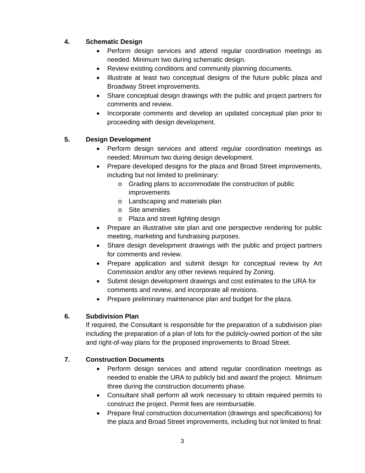#### **4. Schematic Design**

- Perform design services and attend regular coordination meetings as needed. Minimum two during schematic design.
- Review existing conditions and community planning documents.
- Illustrate at least two conceptual designs of the future public plaza and Broadway Street improvements.
- Share conceptual design drawings with the public and project partners for comments and review.
- Incorporate comments and develop an updated conceptual plan prior to proceeding with design development.

#### **5. Design Development**

- Perform design services and attend regular coordination meetings as needed; Minimum two during design development.
- Prepare developed designs for the plaza and Broad Street improvements, including but not limited to preliminary:
	- o Grading plans to accommodate the construction of public improvements
	- o Landscaping and materials plan
	- o Site amenities
	- o Plaza and street lighting design
- Prepare an illustrative site plan and one perspective rendering for public meeting, marketing and fundraising purposes.
- Share design development drawings with the public and project partners for comments and review.
- Prepare application and submit design for conceptual review by Art Commission and/or any other reviews required by Zoning.
- Submit design development drawings and cost estimates to the URA for comments and review, and incorporate all revisions.
- Prepare preliminary maintenance plan and budget for the plaza.

#### **6. Subdivision Plan**

If required, the Consultant is responsible for the preparation of a subdivision plan including the preparation of a plan of lots for the publicly-owned portion of the site and right-of-way plans for the proposed improvements to Broad Street.

#### **7. Construction Documents**

- Perform design services and attend regular coordination meetings as needed to enable the URA to publicly bid and award the project. Minimum three during the construction documents phase.
- Consultant shall perform all work necessary to obtain required permits to construct the project. Permit fees are reimbursable.
- Prepare final construction documentation (drawings and specifications) for the plaza and Broad Street improvements, including but not limited to final: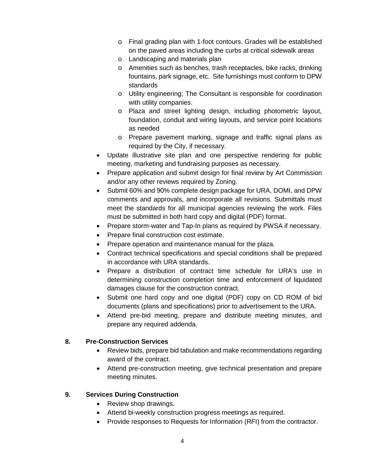- o Final grading plan with 1-foot contours. Grades will be established on the paved areas including the curbs at critical sidewalk areas
- o Landscaping and materials plan
- o Amenities such as benches, trash receptacles, bike racks, drinking fountains, park signage, etc. Site furnishings must conform to DPW standards
- o Utility engineering; The Consultant is responsible for coordination with utility companies.
- o Plaza and street lighting design, including photometric layout, foundation, conduit and wiring layouts, and service point locations as needed
- o Prepare pavement marking, signage and traffic signal plans as required by the City, if necessary.
- Update illustrative site plan and one perspective rendering for public meeting, marketing and fundraising purposes as necessary.
- Prepare application and submit design for final review by Art Commission and/or any other reviews required by Zoning.
- Submit 60% and 90% complete design package for URA, DOMI, and DPW comments and approvals, and incorporate all revisions. Submittals must meet the standards for all municipal agencies reviewing the work. Files must be submitted in both hard copy and digital (PDF) format.
- Prepare storm-water and Tap-In plans as required by PWSA if necessary.
- Prepare final construction cost estimate.
- Prepare operation and maintenance manual for the plaza.
- Contract technical specifications and special conditions shall be prepared in accordance with URA standards.
- Prepare a distribution of contract time schedule for URA's use in determining construction completion time and enforcement of liquidated damages clause for the construction contract.
- Submit one hard copy and one digital (PDF) copy on CD ROM of bid documents (plans and specifications) prior to advertisement to the URA.
- Attend pre-bid meeting, prepare and distribute meeting minutes, and prepare any required addenda.

#### **8. Pre-Construction Services**

- Review bids, prepare bid tabulation and make recommendations regarding award of the contract.
- Attend pre-construction meeting, give technical presentation and prepare meeting minutes.

#### **9. Services During Construction**

- Review shop drawings.
- Attend bi-weekly construction progress meetings as required.
- Provide responses to Requests for Information (RFI) from the contractor.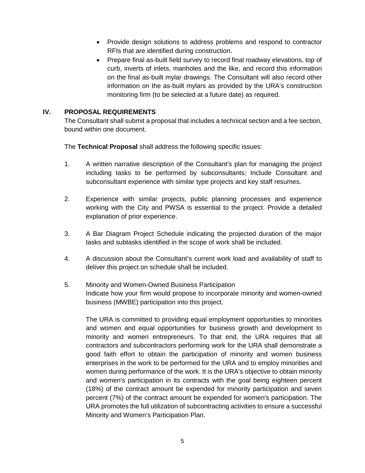- Provide design solutions to address problems and respond to contractor RFIs that are identified during construction.
- Prepare final as-built field survey to record final roadway elevations, top of curb, inverts of inlets, manholes and the like, and record this information on the final as-built mylar drawings. The Consultant will also record other information on the as-built mylars as provided by the URA's construction monitoring firm (to be selected at a future date) as required.

#### **IV. PROPOSAL REQUIREMENTS**

The Consultant shall submit a proposal that includes a technical section and a fee section, bound within one document.

The **Technical Proposal** shall address the following specific issues:

- 1. A written narrative description of the Consultant's plan for managing the project including tasks to be performed by subconsultants; Include Consultant and subconsultant experience with similar type projects and key staff resumes.
- 2. Experience with similar projects, public planning processes and experience working with the City and PWSA is essential to the project. Provide a detailed explanation of prior experience.
- 3. A Bar Diagram Project Schedule indicating the projected duration of the major tasks and subtasks identified in the scope of work shall be included.
- 4. A discussion about the Consultant's current work load and availability of staff to deliver this project on schedule shall be included.
- 5. Minority and Women-Owned Business Participation Indicate how your firm would propose to incorporate minority and women-owned business (MWBE) participation into this project.

The URA is committed to providing equal employment opportunities to minorities and women and equal opportunities for business growth and development to minority and women entrepreneurs. To that end, the URA requires that all contractors and subcontractors performing work for the URA shall demonstrate a good faith effort to obtain the participation of minority and women business enterprises in the work to be performed for the URA and to employ minorities and women during performance of the work. It is the URA's objective to obtain minority and women's participation in its contracts with the goal being eighteen percent (18%) of the contract amount be expended for minority participation and seven percent (7%) of the contract amount be expended for women's participation. The URA promotes the full utilization of subcontracting activities to ensure a successful Minority and Women's Participation Plan.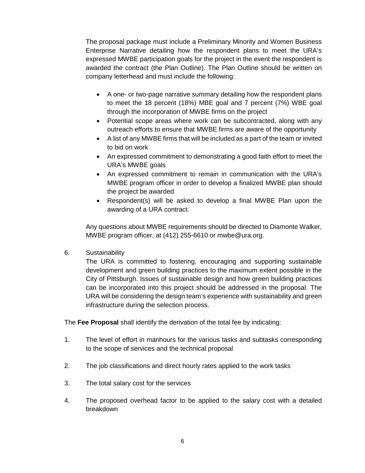The proposal package must include a Preliminary Minority and Women Business Enterprise Narrative detailing how the respondent plans to meet the URA's expressed MWBE participation goals for the project in the event the respondent is awarded the contract (the Plan Outline). The Plan Outline should be written on company letterhead and must include the following:

- A one- or two-page narrative summary detailing how the respondent plans to meet the 18 percent (18%) MBE goal and 7 percent (7%) WBE goal through the incorporation of MWBE firms on the project
- Potential scope areas where work can be subcontracted, along with any outreach efforts to ensure that MWBE firms are aware of the opportunity
- A list of any MWBE firms that will be included as a part of the team or invited to bid on work
- An expressed commitment to demonstrating a good faith effort to meet the URA's MWBE goals
- An expressed commitment to remain in communication with the URA's MWBE program officer in order to develop a finalized MWBE plan should the project be awarded
- Respondent(s) will be asked to develop a final MWBE Plan upon the awarding of a URA contract.

Any questions about MWBE requirements should be directed to Diamonte Walker, MWBE program officer, at (412) 255-6610 or mwbe@ura.org.

6. Sustainability

The URA is committed to fostering, encouraging and supporting sustainable development and green building practices to the maximum extent possible in the City of Pittsburgh. Issues of sustainable design and how green building practices can be incorporated into this project should be addressed in the proposal. The URA will be considering the design team's experience with sustainability and green infrastructure during the selection process.

The **Fee Proposal** shall identify the derivation of the total fee by indicating:

- 1. The level of effort in manhours for the various tasks and subtasks corresponding to the scope of services and the technical proposal
- 2. The job classifications and direct hourly rates applied to the work tasks
- 3. The total salary cost for the services
- 4. The proposed overhead factor to be applied to the salary cost with a detailed breakdown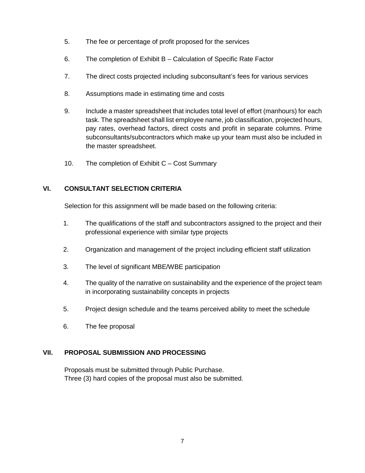- 5. The fee or percentage of profit proposed for the services
- 6. The completion of Exhibit B Calculation of Specific Rate Factor
- 7. The direct costs projected including subconsultant's fees for various services
- 8. Assumptions made in estimating time and costs
- 9. Include a master spreadsheet that includes total level of effort (manhours) for each task. The spreadsheet shall list employee name, job classification, projected hours, pay rates, overhead factors, direct costs and profit in separate columns. Prime subconsultants/subcontractors which make up your team must also be included in the master spreadsheet.
- 10. The completion of Exhibit C Cost Summary

#### **VI. CONSULTANT SELECTION CRITERIA**

Selection for this assignment will be made based on the following criteria:

- 1. The qualifications of the staff and subcontractors assigned to the project and their professional experience with similar type projects
- 2. Organization and management of the project including efficient staff utilization
- 3. The level of significant MBE/WBE participation
- 4. The quality of the narrative on sustainability and the experience of the project team in incorporating sustainability concepts in projects
- 5. Project design schedule and the teams perceived ability to meet the schedule
- 6. The fee proposal

#### **VII. PROPOSAL SUBMISSION AND PROCESSING**

Proposals must be submitted through Public Purchase. Three (3) hard copies of the proposal must also be submitted.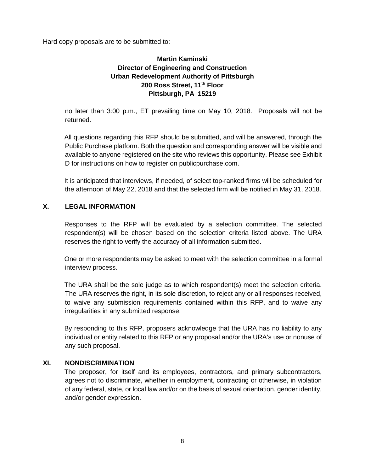Hard copy proposals are to be submitted to:

#### **Martin Kaminski Director of Engineering and Construction Urban Redevelopment Authority of Pittsburgh 200 Ross Street, 11th Floor Pittsburgh, PA 15219**

no later than 3:00 p.m., ET prevailing time on May 10, 2018. Proposals will not be returned.

All questions regarding this RFP should be submitted, and will be answered, through the Public Purchase platform. Both the question and corresponding answer will be visible and available to anyone registered on the site who reviews this opportunity. Please see Exhibit D for instructions on how to register on publicpurchase.com.

It is anticipated that interviews, if needed, of select top-ranked firms will be scheduled for the afternoon of May 22, 2018 and that the selected firm will be notified in May 31, 2018.

#### **X. LEGAL INFORMATION**

Responses to the RFP will be evaluated by a selection committee. The selected respondent(s) will be chosen based on the selection criteria listed above. The URA reserves the right to verify the accuracy of all information submitted.

One or more respondents may be asked to meet with the selection committee in a formal interview process.

The URA shall be the sole judge as to which respondent(s) meet the selection criteria. The URA reserves the right, in its sole discretion, to reject any or all responses received, to waive any submission requirements contained within this RFP, and to waive any irregularities in any submitted response.

By responding to this RFP, proposers acknowledge that the URA has no liability to any individual or entity related to this RFP or any proposal and/or the URA's use or nonuse of any such proposal.

#### **XI. NONDISCRIMINATION**

The proposer, for itself and its employees, contractors, and primary subcontractors, agrees not to discriminate, whether in employment, contracting or otherwise, in violation of any federal, state, or local law and/or on the basis of sexual orientation, gender identity, and/or gender expression.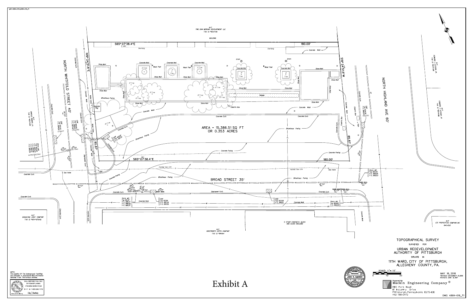

![](_page_9_Picture_3.jpeg)

![](_page_9_Picture_4.jpeg)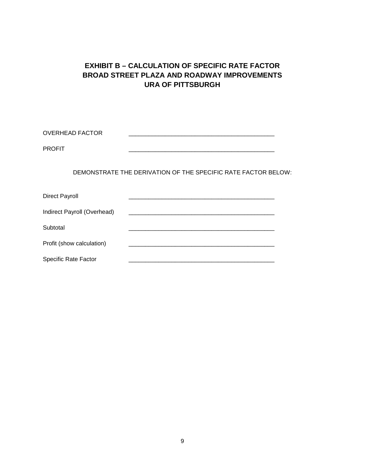#### **EXHIBIT B – CALCULATION OF SPECIFIC RATE FACTOR BROAD STREET PLAZA AND ROADWAY IMPROVEMENTS URA OF PITTSBURGH**

OVERHEAD FACTOR \_\_\_\_\_\_\_\_\_\_\_\_\_\_\_\_\_\_\_\_\_\_\_\_\_\_\_\_\_\_\_\_\_\_\_\_\_\_\_\_\_\_\_\_

PROFIT \_\_\_\_\_\_\_\_\_\_\_\_\_\_\_\_\_\_\_\_\_\_\_\_\_\_\_\_\_\_\_\_\_\_\_\_\_\_\_\_\_\_\_\_

DEMONSTRATE THE DERIVATION OF THE SPECIFIC RATE FACTOR BELOW:

| <b>Direct Payroll</b>       |  |
|-----------------------------|--|
| Indirect Payroll (Overhead) |  |
| Subtotal                    |  |
| Profit (show calculation)   |  |
| Specific Rate Factor        |  |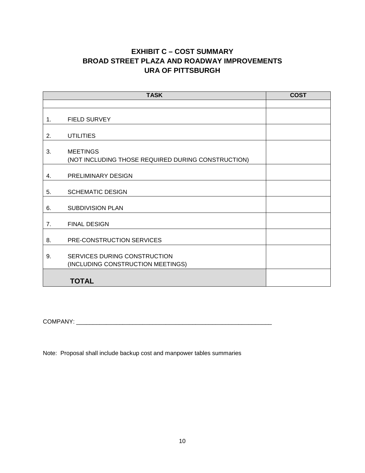#### **EXHIBIT C – COST SUMMARY BROAD STREET PLAZA AND ROADWAY IMPROVEMENTS URA OF PITTSBURGH**

| <b>TASK</b> |                                                                       | <b>COST</b> |
|-------------|-----------------------------------------------------------------------|-------------|
|             |                                                                       |             |
| 1.          | <b>FIELD SURVEY</b>                                                   |             |
| 2.          | <b>UTILITIES</b>                                                      |             |
| 3.          | <b>MEETINGS</b><br>(NOT INCLUDING THOSE REQUIRED DURING CONSTRUCTION) |             |
| 4.          | <b>PRELIMINARY DESIGN</b>                                             |             |
| 5.          | <b>SCHEMATIC DESIGN</b>                                               |             |
| 6.          | <b>SUBDIVISION PLAN</b>                                               |             |
| 7.          | <b>FINAL DESIGN</b>                                                   |             |
| 8.          | PRE-CONSTRUCTION SERVICES                                             |             |
| 9.          | SERVICES DURING CONSTRUCTION<br>(INCLUDING CONSTRUCTION MEETINGS)     |             |
|             | <b>TOTAL</b>                                                          |             |

COMPANY: \_\_\_\_\_\_\_\_\_\_\_\_\_\_\_\_\_\_\_\_\_\_\_\_\_\_\_\_\_\_\_\_\_\_\_\_\_\_\_\_\_\_\_\_\_\_\_\_\_\_\_\_\_\_\_\_\_\_\_

Note: Proposal shall include backup cost and manpower tables summaries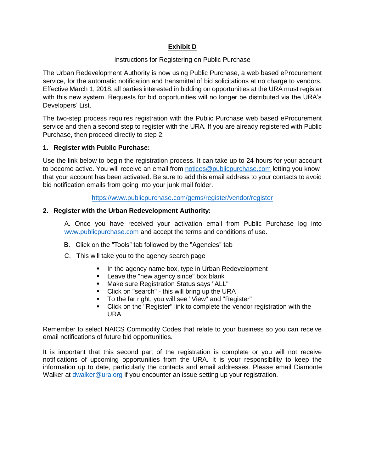#### **Exhibit D**

#### Instructions for Registering on Public Purchase

The Urban Redevelopment Authority is now using Public Purchase, a web based eProcurement service, for the automatic notification and transmittal of bid solicitations at no charge to vendors. Effective March 1, 2018, all parties interested in bidding on opportunities at the URA must register with this new system. Requests for bid opportunities will no longer be distributed via the URA's Developers' List.

The two-step process requires registration with the Public Purchase web based eProcurement service and then a second step to register with the URA. If you are already registered with Public Purchase, then proceed directly to step 2.

#### **1. Register with Public Purchase:**

Use the link below to begin the registration process. It can take up to 24 hours for your account to become active. You will receive an email from [notices@publicpurchase.com](mailto:notices@publicpurchase.com) letting you know that your account has been activated. Be sure to add this email address to your contacts to avoid bid notification emails from going into your junk mail folder.

<https://www.publicpurchase.com/gems/register/vendor/register>

#### **2. Register with the Urban Redevelopment Authority:**

A. Once you have received your activation email from Public Purchase log into [www.publicpurchase.com](http://www.publicpurchase.com/) and accept the terms and conditions of use.

- B. Click on the "Tools" tab followed by the "Agencies" tab
- C. This will take you to the agency search page
	- In the agency name box, type in Urban Redevelopment
	- **EXEC** Leave the "new agency since" box blank
	- Make sure Registration Status says "ALL"
	- Click on "search" this will bring up the URA
	- To the far right, you will see "View" and "Register"
	- Click on the "Register" link to complete the vendor registration with the URA

Remember to select NAICS Commodity Codes that relate to your business so you can receive email notifications of future bid opportunities.

It is important that this second part of the registration is complete or you will not receive notifications of upcoming opportunities from the URA. It is your responsibility to keep the information up to date, particularly the contacts and email addresses. Please email Diamonte Walker at [dwalker@ura.org](mailto:dwalker@ura.org) if you encounter an issue setting up your registration.